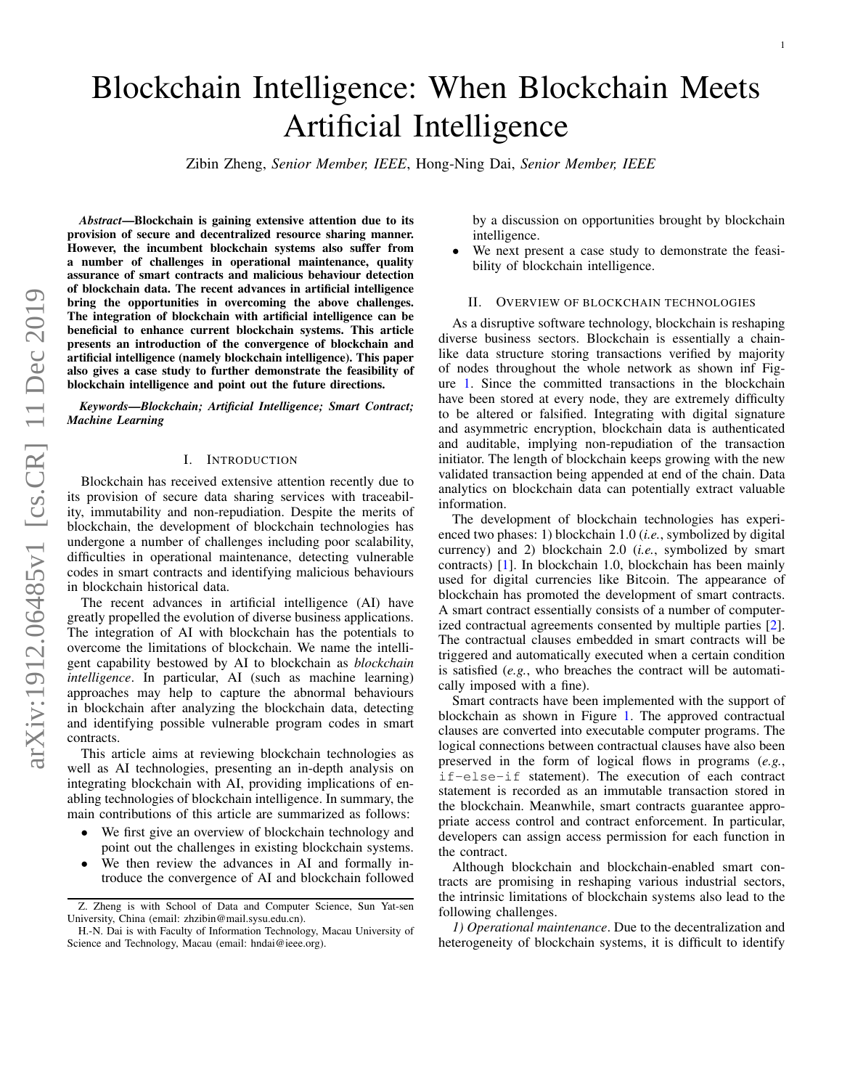# Blockchain Intelligence: When Blockchain Meets Artificial Intelligence

Zibin Zheng, *Senior Member, IEEE*, Hong-Ning Dai, *Senior Member, IEEE*

*Abstract*—Blockchain is gaining extensive attention due to its provision of secure and decentralized resource sharing manner. However, the incumbent blockchain systems also suffer from a number of challenges in operational maintenance, quality assurance of smart contracts and malicious behaviour detection of blockchain data. The recent advances in artificial intelligence bring the opportunities in overcoming the above challenges. The integration of blockchain with artificial intelligence can be beneficial to enhance current blockchain systems. This article presents an introduction of the convergence of blockchain and artificial intelligence (namely blockchain intelligence). This paper also gives a case study to further demonstrate the feasibility of blockchain intelligence and point out the future directions.

*Keywords*—*Blockchain; Artificial Intelligence; Smart Contract; Machine Learning*

#### I. INTRODUCTION

Blockchain has received extensive attention recently due to its provision of secure data sharing services with traceability, immutability and non-repudiation. Despite the merits of blockchain, the development of blockchain technologies has undergone a number of challenges including poor scalability, difficulties in operational maintenance, detecting vulnerable codes in smart contracts and identifying malicious behaviours in blockchain historical data.

The recent advances in artificial intelligence (AI) have greatly propelled the evolution of diverse business applications. The integration of AI with blockchain has the potentials to overcome the limitations of blockchain. We name the intelligent capability bestowed by AI to blockchain as *blockchain intelligence*. In particular, AI (such as machine learning) approaches may help to capture the abnormal behaviours in blockchain after analyzing the blockchain data, detecting and identifying possible vulnerable program codes in smart contracts.

This article aims at reviewing blockchain technologies as well as AI technologies, presenting an in-depth analysis on integrating blockchain with AI, providing implications of enabling technologies of blockchain intelligence. In summary, the main contributions of this article are summarized as follows:

- We first give an overview of blockchain technology and point out the challenges in existing blockchain systems.
- We then review the advances in AI and formally introduce the convergence of AI and blockchain followed

by a discussion on opportunities brought by blockchain intelligence.

We next present a case study to demonstrate the feasibility of blockchain intelligence.

## II. OVERVIEW OF BLOCKCHAIN TECHNOLOGIES

As a disruptive software technology, blockchain is reshaping diverse business sectors. Blockchain is essentially a chainlike data structure storing transactions verified by majority of nodes throughout the whole network as shown inf Figure [1.](#page-1-0) Since the committed transactions in the blockchain have been stored at every node, they are extremely difficulty to be altered or falsified. Integrating with digital signature and asymmetric encryption, blockchain data is authenticated and auditable, implying non-repudiation of the transaction initiator. The length of blockchain keeps growing with the new validated transaction being appended at end of the chain. Data analytics on blockchain data can potentially extract valuable information.

The development of blockchain technologies has experienced two phases: 1) blockchain 1.0 (*i.e.*, symbolized by digital currency) and 2) blockchain 2.0 (*i.e.*, symbolized by smart contracts) [\[1\]](#page-4-0). In blockchain 1.0, blockchain has been mainly used for digital currencies like Bitcoin. The appearance of blockchain has promoted the development of smart contracts. A smart contract essentially consists of a number of computerized contractual agreements consented by multiple parties [\[2\]](#page-4-1). The contractual clauses embedded in smart contracts will be triggered and automatically executed when a certain condition is satisfied (*e.g.*, who breaches the contract will be automatically imposed with a fine).

Smart contracts have been implemented with the support of blockchain as shown in Figure [1.](#page-1-0) The approved contractual clauses are converted into executable computer programs. The logical connections between contractual clauses have also been preserved in the form of logical flows in programs (*e.g.*, if-else-if statement). The execution of each contract statement is recorded as an immutable transaction stored in the blockchain. Meanwhile, smart contracts guarantee appropriate access control and contract enforcement. In particular, developers can assign access permission for each function in the contract.

Although blockchain and blockchain-enabled smart contracts are promising in reshaping various industrial sectors, the intrinsic limitations of blockchain systems also lead to the following challenges.

*1) Operational maintenance*. Due to the decentralization and heterogeneity of blockchain systems, it is difficult to identify

Z. Zheng is with School of Data and Computer Science, Sun Yat-sen University, China (email: zhzibin@mail.sysu.edu.cn).

H.-N. Dai is with Faculty of Information Technology, Macau University of Science and Technology, Macau (email: hndai@ieee.org).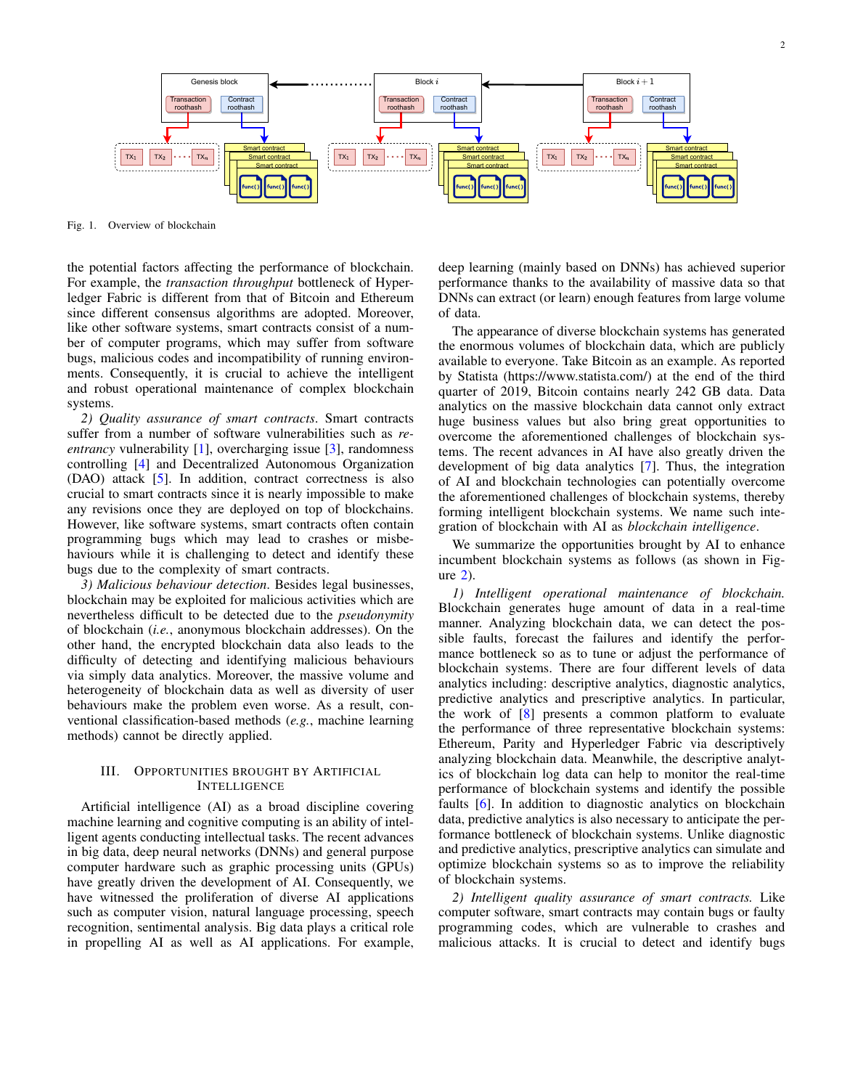



<span id="page-1-0"></span>Fig. 1. Overview of blockchain

the potential factors affecting the performance of blockchain. For example, the *transaction throughput* bottleneck of Hyperledger Fabric is different from that of Bitcoin and Ethereum since different consensus algorithms are adopted. Moreover, like other software systems, smart contracts consist of a number of computer programs, which may suffer from software bugs, malicious codes and incompatibility of running environments. Consequently, it is crucial to achieve the intelligent and robust operational maintenance of complex blockchain systems.

*2) Quality assurance of smart contracts*. Smart contracts suffer from a number of software vulnerabilities such as *reentrancy* vulnerability [\[1\]](#page-4-0), overcharging issue [\[3\]](#page-4-2), randomness controlling [\[4\]](#page-4-3) and Decentralized Autonomous Organization (DAO) attack [\[5\]](#page-4-4). In addition, contract correctness is also crucial to smart contracts since it is nearly impossible to make any revisions once they are deployed on top of blockchains. However, like software systems, smart contracts often contain programming bugs which may lead to crashes or misbehaviours while it is challenging to detect and identify these bugs due to the complexity of smart contracts.

*3) Malicious behaviour detection*. Besides legal businesses, blockchain may be exploited for malicious activities which are nevertheless difficult to be detected due to the *pseudonymity* of blockchain (*i.e.*, anonymous blockchain addresses). On the other hand, the encrypted blockchain data also leads to the difficulty of detecting and identifying malicious behaviours via simply data analytics. Moreover, the massive volume and heterogeneity of blockchain data as well as diversity of user behaviours make the problem even worse. As a result, conventional classification-based methods (*e.g.*, machine learning methods) cannot be directly applied.

# III. OPPORTUNITIES BROUGHT BY ARTIFICIAL INTELLIGENCE

Artificial intelligence (AI) as a broad discipline covering machine learning and cognitive computing is an ability of intelligent agents conducting intellectual tasks. The recent advances in big data, deep neural networks (DNNs) and general purpose computer hardware such as graphic processing units (GPUs) have greatly driven the development of AI. Consequently, we have witnessed the proliferation of diverse AI applications such as computer vision, natural language processing, speech recognition, sentimental analysis. Big data plays a critical role in propelling AI as well as AI applications. For example, deep learning (mainly based on DNNs) has achieved superior performance thanks to the availability of massive data so that DNNs can extract (or learn) enough features from large volume of data.

The appearance of diverse blockchain systems has generated the enormous volumes of blockchain data, which are publicly available to everyone. Take Bitcoin as an example. As reported by Statista (https://www.statista.com/) at the end of the third quarter of 2019, Bitcoin contains nearly 242 GB data. Data analytics on the massive blockchain data cannot only extract huge business values but also bring great opportunities to overcome the aforementioned challenges of blockchain systems. The recent advances in AI have also greatly driven the development of big data analytics [\[7\]](#page-4-5). Thus, the integration of AI and blockchain technologies can potentially overcome the aforementioned challenges of blockchain systems, thereby forming intelligent blockchain systems. We name such integration of blockchain with AI as *blockchain intelligence*.

We summarize the opportunities brought by AI to enhance incumbent blockchain systems as follows (as shown in Figure [2\)](#page-2-0).

*1) Intelligent operational maintenance of blockchain.* Blockchain generates huge amount of data in a real-time manner. Analyzing blockchain data, we can detect the possible faults, forecast the failures and identify the performance bottleneck so as to tune or adjust the performance of blockchain systems. There are four different levels of data analytics including: descriptive analytics, diagnostic analytics, predictive analytics and prescriptive analytics. In particular, the work of [\[8\]](#page-4-6) presents a common platform to evaluate the performance of three representative blockchain systems: Ethereum, Parity and Hyperledger Fabric via descriptively analyzing blockchain data. Meanwhile, the descriptive analytics of blockchain log data can help to monitor the real-time performance of blockchain systems and identify the possible faults [\[6\]](#page-4-7). In addition to diagnostic analytics on blockchain data, predictive analytics is also necessary to anticipate the performance bottleneck of blockchain systems. Unlike diagnostic and predictive analytics, prescriptive analytics can simulate and optimize blockchain systems so as to improve the reliability of blockchain systems.

*2) Intelligent quality assurance of smart contracts.* Like computer software, smart contracts may contain bugs or faulty programming codes, which are vulnerable to crashes and malicious attacks. It is crucial to detect and identify bugs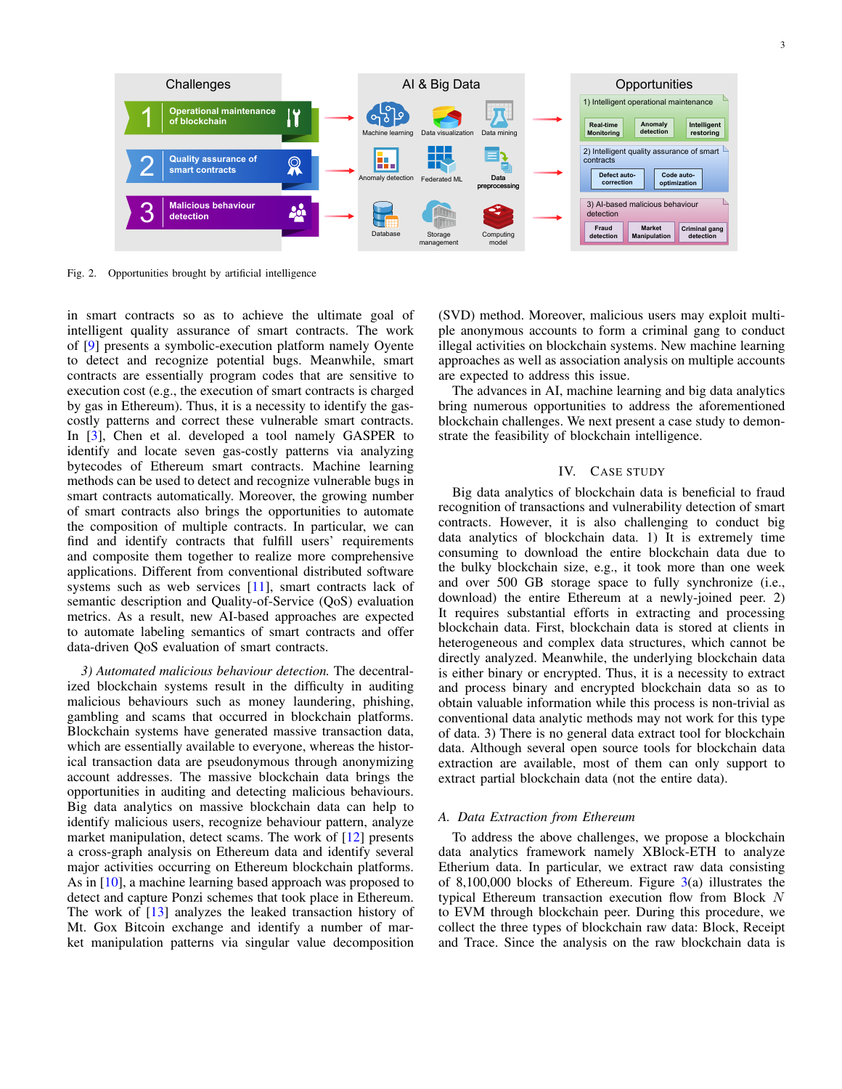

<span id="page-2-0"></span>Fig. 2. Opportunities brought by artificial intelligence

in smart contracts so as to achieve the ultimate goal of intelligent quality assurance of smart contracts. The work of [\[9\]](#page-4-8) presents a symbolic-execution platform namely Oyente to detect and recognize potential bugs. Meanwhile, smart contracts are essentially program codes that are sensitive to execution cost (e.g., the execution of smart contracts is charged by gas in Ethereum). Thus, it is a necessity to identify the gascostly patterns and correct these vulnerable smart contracts. In [\[3\]](#page-4-2), Chen et al. developed a tool namely GASPER to identify and locate seven gas-costly patterns via analyzing bytecodes of Ethereum smart contracts. Machine learning methods can be used to detect and recognize vulnerable bugs in smart contracts automatically. Moreover, the growing number of smart contracts also brings the opportunities to automate the composition of multiple contracts. In particular, we can find and identify contracts that fulfill users' requirements and composite them together to realize more comprehensive applications. Different from conventional distributed software systems such as web services [\[11\]](#page-4-9), smart contracts lack of semantic description and Quality-of-Service (QoS) evaluation metrics. As a result, new AI-based approaches are expected to automate labeling semantics of smart contracts and offer data-driven QoS evaluation of smart contracts.

*3) Automated malicious behaviour detection.* The decentralized blockchain systems result in the difficulty in auditing malicious behaviours such as money laundering, phishing, gambling and scams that occurred in blockchain platforms. Blockchain systems have generated massive transaction data, which are essentially available to everyone, whereas the historical transaction data are pseudonymous through anonymizing account addresses. The massive blockchain data brings the opportunities in auditing and detecting malicious behaviours. Big data analytics on massive blockchain data can help to identify malicious users, recognize behaviour pattern, analyze market manipulation, detect scams. The work of [\[12\]](#page-4-10) presents a cross-graph analysis on Ethereum data and identify several major activities occurring on Ethereum blockchain platforms. As in [\[10\]](#page-4-11), a machine learning based approach was proposed to detect and capture Ponzi schemes that took place in Ethereum. The work of [\[13\]](#page-4-12) analyzes the leaked transaction history of Mt. Gox Bitcoin exchange and identify a number of market manipulation patterns via singular value decomposition (SVD) method. Moreover, malicious users may exploit multiple anonymous accounts to form a criminal gang to conduct illegal activities on blockchain systems. New machine learning approaches as well as association analysis on multiple accounts are expected to address this issue.

The advances in AI, machine learning and big data analytics bring numerous opportunities to address the aforementioned blockchain challenges. We next present a case study to demonstrate the feasibility of blockchain intelligence.

# IV. CASE STUDY

Big data analytics of blockchain data is beneficial to fraud recognition of transactions and vulnerability detection of smart contracts. However, it is also challenging to conduct big data analytics of blockchain data. 1) It is extremely time consuming to download the entire blockchain data due to the bulky blockchain size, e.g., it took more than one week and over 500 GB storage space to fully synchronize (i.e., download) the entire Ethereum at a newly-joined peer. 2) It requires substantial efforts in extracting and processing blockchain data. First, blockchain data is stored at clients in heterogeneous and complex data structures, which cannot be directly analyzed. Meanwhile, the underlying blockchain data is either binary or encrypted. Thus, it is a necessity to extract and process binary and encrypted blockchain data so as to obtain valuable information while this process is non-trivial as conventional data analytic methods may not work for this type of data. 3) There is no general data extract tool for blockchain data. Although several open source tools for blockchain data extraction are available, most of them can only support to extract partial blockchain data (not the entire data).

# *A. Data Extraction from Ethereum*

To address the above challenges, we propose a blockchain data analytics framework namely XBlock-ETH to analyze Etherium data. In particular, we extract raw data consisting of 8,100,000 blocks of Ethereum. Figure  $3(a)$  $3(a)$  illustrates the typical Ethereum transaction execution flow from Block N to EVM through blockchain peer. During this procedure, we collect the three types of blockchain raw data: Block, Receipt and Trace. Since the analysis on the raw blockchain data is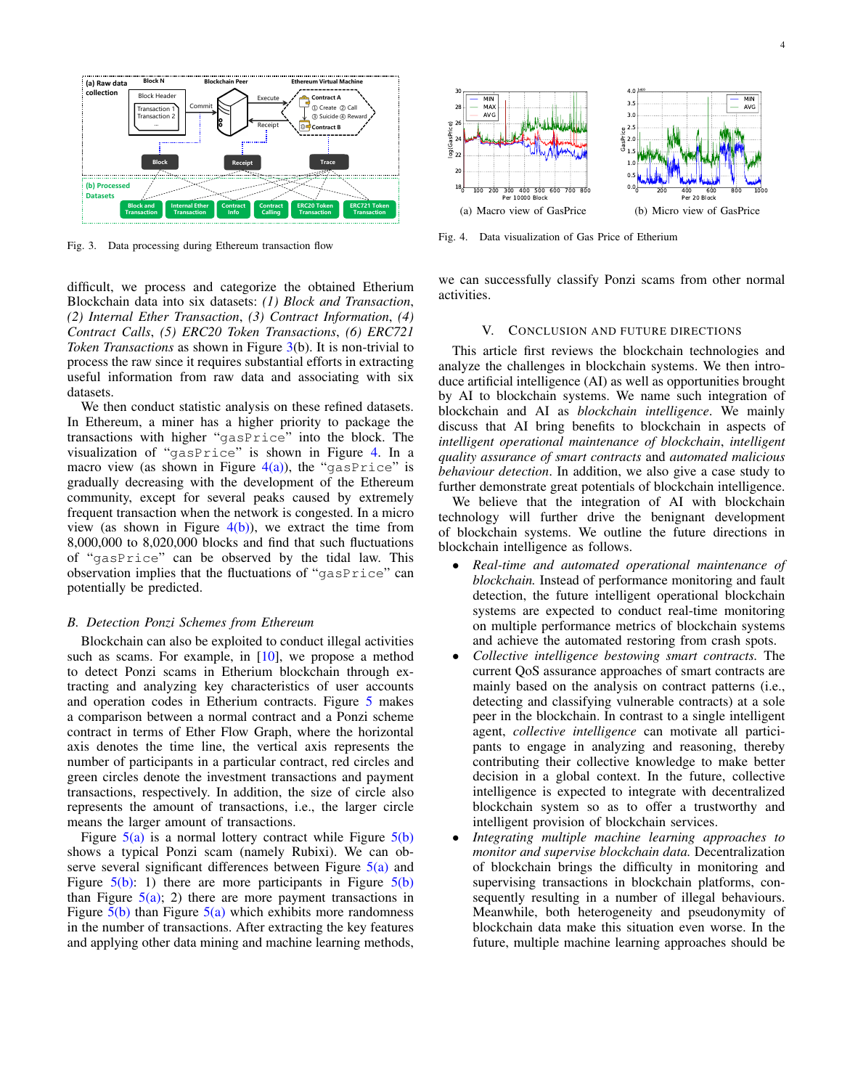

<span id="page-3-0"></span>Fig. 3. Data processing during Ethereum transaction flow

difficult, we process and categorize the obtained Etherium Blockchain data into six datasets: *(1) Block and Transaction*, *(2) Internal Ether Transaction*, *(3) Contract Information*, *(4) Contract Calls*, *(5) ERC20 Token Transactions*, *(6) ERC721 Token Transactions* as shown in Figure [3\(](#page-3-0)b). It is non-trivial to process the raw since it requires substantial efforts in extracting useful information from raw data and associating with six datasets.

We then conduct statistic analysis on these refined datasets. In Ethereum, a miner has a higher priority to package the transactions with higher "gasPrice" into the block. The visualization of "gasPrice" is shown in Figure [4.](#page-3-1) In a macro view (as shown in Figure  $4(a)$ ), the "gasPrice" is gradually decreasing with the development of the Ethereum community, except for several peaks caused by extremely frequent transaction when the network is congested. In a micro view (as shown in Figure  $4(b)$ ), we extract the time from 8,000,000 to 8,020,000 blocks and find that such fluctuations of "gasPrice" can be observed by the tidal law. This observation implies that the fluctuations of "gasPrice" can potentially be predicted.

#### *B. Detection Ponzi Schemes from Ethereum*

Blockchain can also be exploited to conduct illegal activities such as scams. For example, in  $[10]$ , we propose a method to detect Ponzi scams in Etherium blockchain through extracting and analyzing key characteristics of user accounts and operation codes in Etherium contracts. Figure [5](#page-4-13) makes a comparison between a normal contract and a Ponzi scheme contract in terms of Ether Flow Graph, where the horizontal axis denotes the time line, the vertical axis represents the number of participants in a particular contract, red circles and green circles denote the investment transactions and payment transactions, respectively. In addition, the size of circle also represents the amount of transactions, i.e., the larger circle means the larger amount of transactions.

Figure  $5(a)$  is a normal lottery contract while Figure  $5(b)$ shows a typical Ponzi scam (namely Rubixi). We can observe several significant differences between Figure [5\(a\)](#page-4-14) and Figure  $5(b)$ : 1) there are more participants in Figure  $5(b)$ than Figure  $5(a)$ ; 2) there are more payment transactions in Figure  $5(b)$  than Figure  $5(a)$  which exhibits more randomness in the number of transactions. After extracting the key features and applying other data mining and machine learning methods,

<span id="page-3-2"></span>

<span id="page-3-3"></span><span id="page-3-1"></span>Fig. 4. Data visualization of Gas Price of Etherium

we can successfully classify Ponzi scams from other normal activities.

#### V. CONCLUSION AND FUTURE DIRECTIONS

This article first reviews the blockchain technologies and analyze the challenges in blockchain systems. We then introduce artificial intelligence (AI) as well as opportunities brought by AI to blockchain systems. We name such integration of blockchain and AI as *blockchain intelligence*. We mainly discuss that AI bring benefits to blockchain in aspects of *intelligent operational maintenance of blockchain*, *intelligent quality assurance of smart contracts* and *automated malicious behaviour detection*. In addition, we also give a case study to further demonstrate great potentials of blockchain intelligence.

We believe that the integration of AI with blockchain technology will further drive the benignant development of blockchain systems. We outline the future directions in blockchain intelligence as follows.

- *Real-time and automated operational maintenance of blockchain.* Instead of performance monitoring and fault detection, the future intelligent operational blockchain systems are expected to conduct real-time monitoring on multiple performance metrics of blockchain systems and achieve the automated restoring from crash spots.
- *Collective intelligence bestowing smart contracts.* The current QoS assurance approaches of smart contracts are mainly based on the analysis on contract patterns (i.e., detecting and classifying vulnerable contracts) at a sole peer in the blockchain. In contrast to a single intelligent agent, *collective intelligence* can motivate all participants to engage in analyzing and reasoning, thereby contributing their collective knowledge to make better decision in a global context. In the future, collective intelligence is expected to integrate with decentralized blockchain system so as to offer a trustworthy and intelligent provision of blockchain services.
- *Integrating multiple machine learning approaches to monitor and supervise blockchain data.* Decentralization of blockchain brings the difficulty in monitoring and supervising transactions in blockchain platforms, consequently resulting in a number of illegal behaviours. Meanwhile, both heterogeneity and pseudonymity of blockchain data make this situation even worse. In the future, multiple machine learning approaches should be